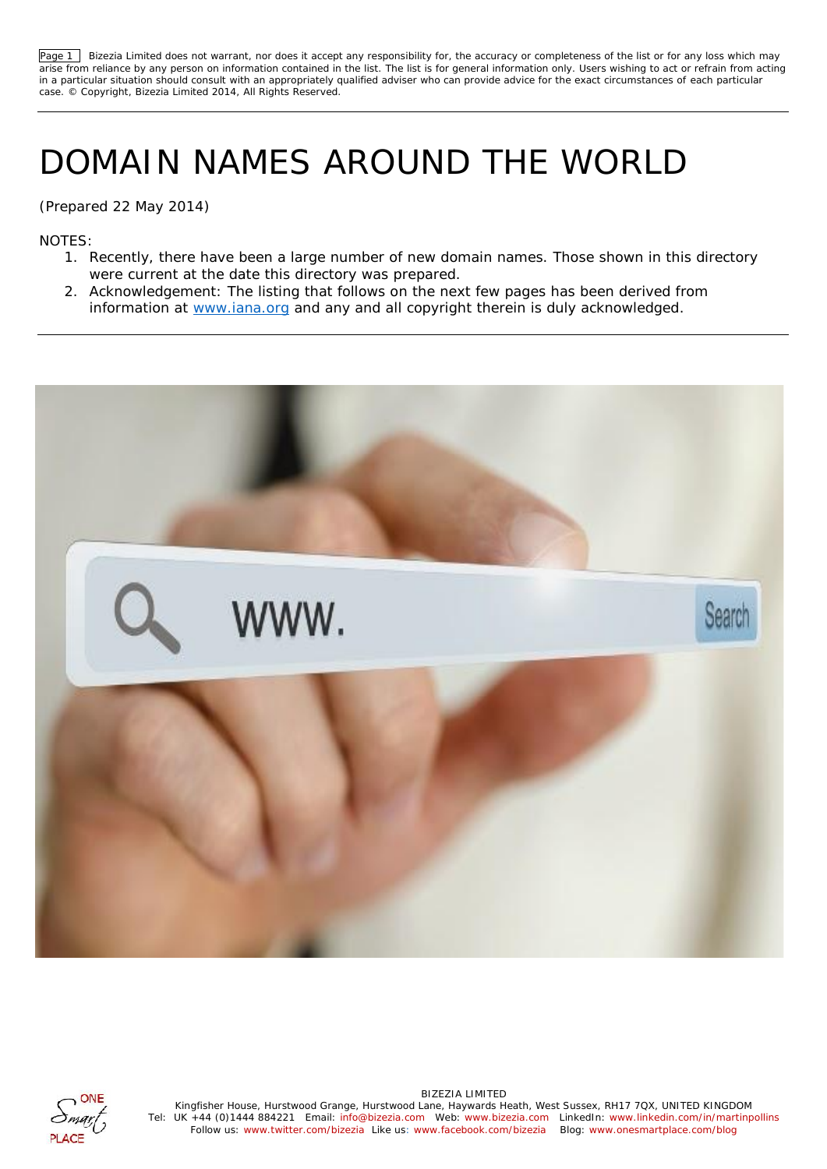Page 1 Bizezia Limited does not warrant, nor does it accept any responsibility for, the accuracy or completeness of the list or for any loss which may arise from reliance by any person on information contained in the list. The list is for general information only. Users wishing to act or refrain from acting in a particular situation should consult with an appropriately qualified adviser who can provide advice for the exact circumstances of each particular case. © Copyright, Bizezia Limited 2014, All Rights Reserved.

## DOMAIN NAMES AROUND THE WORLD

(Prepared 22 May 2014)

NOTES:

- 1. Recently, there have been a large number of new domain names. Those shown in this directory were current at the date this directory was prepared.
- 2. Acknowledgement: The listing that follows on the next few pages has been derived from information at www.iana.org and any and all copyright therein is duly acknowledged.





Kingfisher House, Hurstwood Grange, Hurstwood Lane, Haywards Heath, West Sussex, RH17 7QX, UNITED KINGDOM Tel: UK +44 (0)1444 884221 Email: info@bizezia.com Web: www.bizezia.com LinkedIn: www.linkedin.com/in/martinpollins Follow us: www.twitter.com/bizezia Like us: www.facebook.com/bizezia Blog: www.onesmartplace.com/blog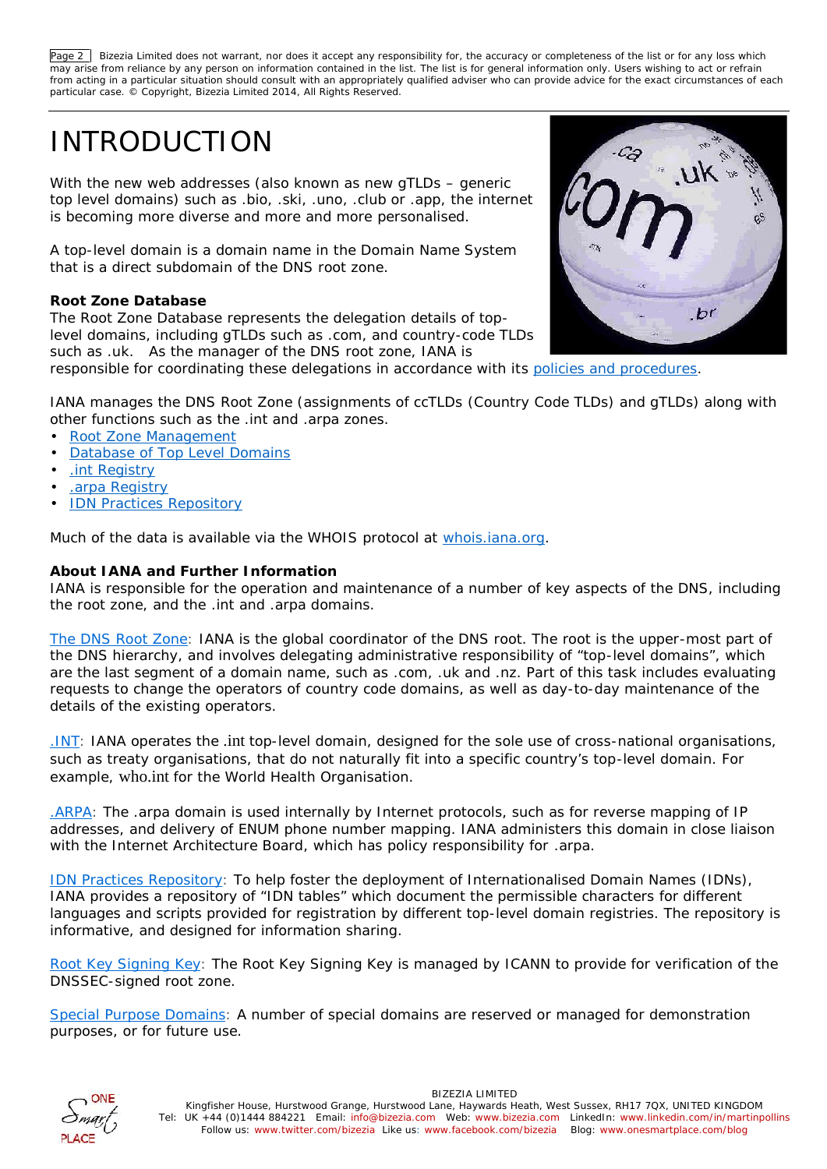Page 2 Bizezia Limited does not warrant, nor does it accept any responsibility for, the accuracy or completeness of the list or for any loss which may arise from reliance by any person on information contained in the list. The list is for general information only. Users wishing to act or refrain from acting in a particular situation should consult with an appropriately qualified adviser who can provide advice for the exact circumstances of each particular case. © Copyright, Bizezia Limited 2014, All Rights Reserved.

## INTRODUCTION

With the new web addresses (also known as new gTLDs – generic top level domains) such as .bio, .ski, .uno, .club or .app, the internet is becoming more diverse and more and more personalised.

A top-level domain is a domain name in the Domain Name System that is a direct subdomain of the DNS root zone.

**Root Zone Database**

The Root Zone Database represents the delegation details of toplevel domains, including gTLDs such as .com, and country-code TLDs such as .uk. As the manager of the DNS root zone, IANA is



responsible for coordinating these delegations in accordance with its policies and procedures.

IANA manages the DNS Root Zone (assignments of ccTLDs (Country Code TLDs) and gTLDs) along with other functions such as the .int and .arpa zones.

- Root Zone Management
- **Database of Top Level Domains**
- .int Registry
- .arpa Registry
- **IDN Practices Repository**

Much of the data is available via the WHOIS protocol at whois.iana.org.

## **About IANA and Further Information**

IANA is responsible for the operation and maintenance of a number of key aspects of the DNS, including the root zone, and the .int and .arpa domains.

The DNS Root Zone: IANA is the global coordinator of the DNS root. The root is the upper-most part of the DNS hierarchy, and involves delegating administrative responsibility of "top-level domains", which are the last segment of a domain name, such as .com, .uk and .nz. Part of this task includes evaluating requests to change the operators of country code domains, as well as day-to-day maintenance of the details of the existing operators.

.INT: IANA operates the .int top-level domain, designed for the sole use of cross-national organisations, such as treaty organisations, that do not naturally fit into a specific country's top-level domain. For example, who.int for the World Health Organisation.

.ARPA: The .arpa domain is used internally by Internet protocols, such as for reverse mapping of IP addresses, and delivery of ENUM phone number mapping. IANA administers this domain in close liaison with the Internet Architecture Board, which has policy responsibility for .arpa.

IDN Practices Repository: To help foster the deployment of Internationalised Domain Names (IDNs), IANA provides a repository of "IDN tables" which document the permissible characters for different languages and scripts provided for registration by different top-level domain registries. The repository is informative, and designed for information sharing.

Root Key Signing Key: The Root Key Signing Key is managed by ICANN to provide for verification of the DNSSEC-signed root zone.

Special Purpose Domains: A number of special domains are reserved or managed for demonstration purposes, or for future use.

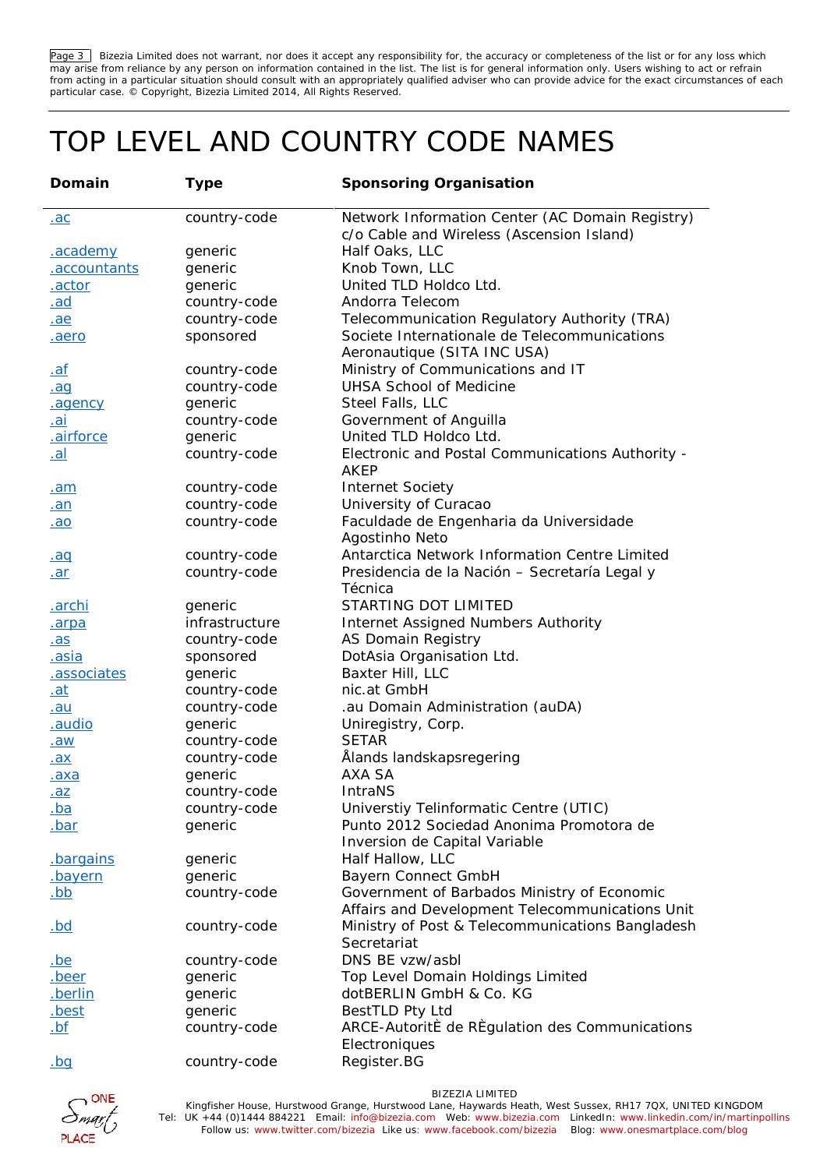Page 3 Bizezia Limited does not warrant, nor does it accept any responsibility for, the accuracy or completeness of the list or for any loss which may arise from reliance by any person on information contained in the list. The list is for general information only. Users wishing to act or refrain from acting in a particular situation should consult with an appropriately qualified adviser who can provide advice for the exact circumstances of each particular case. © Copyright, Bizezia Limited 2014, All Rights Reserved.

## TOP LEVEL AND COUNTRY CODE NAMES

| Domain         | Type           | Sponsoring Organisation                                                                      |
|----------------|----------------|----------------------------------------------------------------------------------------------|
| <u>.ac</u>     | country-code   | Network Information Center (AC Domain Registry)<br>c/o Cable and Wireless (Ascension Island) |
| .academy       | generic        | Half Oaks, LLC                                                                               |
| .accountants   | generic        | Knob Town, LLC                                                                               |
| .actor         | generic        | United TLD Holdco Ltd.                                                                       |
| <u>.ad</u>     | country-code   | Andorra Telecom                                                                              |
| .ae            | country-code   | Telecommunication Regulatory Authority (TRA)                                                 |
| aero.          | sponsored      | Societe Internationale de Telecommunications<br>Aeronautique (SITA INC USA)                  |
| <u>.af</u>     | country-code   | Ministry of Communications and IT                                                            |
| .aq            | country-code   | <b>UHSA School of Medicine</b>                                                               |
| <u>.agency</u> | generic        | Steel Falls, LLC                                                                             |
| <u>.ai</u>     | country-code   | Government of Anguilla                                                                       |
| airforce       | generic        | United TLD Holdco Ltd.                                                                       |
| <u>.al</u>     | country-code   | Electronic and Postal Communications Authority -<br>AKEP                                     |
| <u>.am</u>     | country-code   | <b>Internet Society</b>                                                                      |
| <u>.an</u>     | country-code   | University of Curacao                                                                        |
| <u>.ao</u>     | country-code   | Faculdade de Engenharia da Universidade                                                      |
|                |                | Agostinho Neto                                                                               |
| .aq            | country-code   | Antarctica Network Information Centre Limited                                                |
| .ar            | country-code   | Presidencia de la Nación - Secretaría Legal y                                                |
|                |                | Técnica                                                                                      |
| <u>.archi</u>  | generic        | STARTING DOT LIMITED                                                                         |
| .arpa          | infrastructure | Internet Assigned Numbers Authority                                                          |
| <u>.as</u>     | country-code   | AS Domain Registry                                                                           |
| <u>.asia</u>   | sponsored      | DotAsia Organisation Ltd.                                                                    |
| associates     | generic        | Baxter Hill, LLC                                                                             |
| <u>.at</u>     | country-code   | nic.at GmbH                                                                                  |
| <u>.au</u>     | country-code   | .au Domain Administration (auDA)                                                             |
| .audio         | generic        | Uniregistry, Corp.                                                                           |
| <u>.aw</u>     | country-code   | <b>SETAR</b>                                                                                 |
| .ax            | country-code   | Ålands landskapsregering                                                                     |
| <u>.axa</u>    | generic        | <b>AXA SA</b>                                                                                |
| <u>.az</u>     | country-code   | IntraNS                                                                                      |
| <u>.ba</u>     | country-code   | Universtiy Telinformatic Centre (UTIC)                                                       |
| <u>.bar</u>    | generic        | Punto 2012 Sociedad Anonima Promotora de                                                     |
|                |                | Inversion de Capital Variable                                                                |
| bargains       | generic        | Half Hallow, LLC                                                                             |
| <u>.bayern</u> | generic        | Bayern Connect GmbH                                                                          |
| <u>.bb</u>     | country-code   | Government of Barbados Ministry of Economic                                                  |
|                |                | Affairs and Development Telecommunications Unit                                              |
| <u>.bd</u>     | country-code   | Ministry of Post & Telecommunications Bangladesh                                             |
|                |                | Secretariat                                                                                  |
| <u>.be</u>     | country-code   | DNS BE vzw/asbl                                                                              |
| .beer          | generic        | Top Level Domain Holdings Limited                                                            |
| <u>.berlin</u> | generic        | dotBERLIN GmbH & Co. KG                                                                      |
| .best          | generic        | BestTLD Pty Ltd                                                                              |
| <u>.bf</u>     | country-code   | ARCE-AutoritE de REgulation des Communications                                               |
|                |                | Electroniques                                                                                |
| <u>.bq</u>     | country-code   | Register.BG                                                                                  |

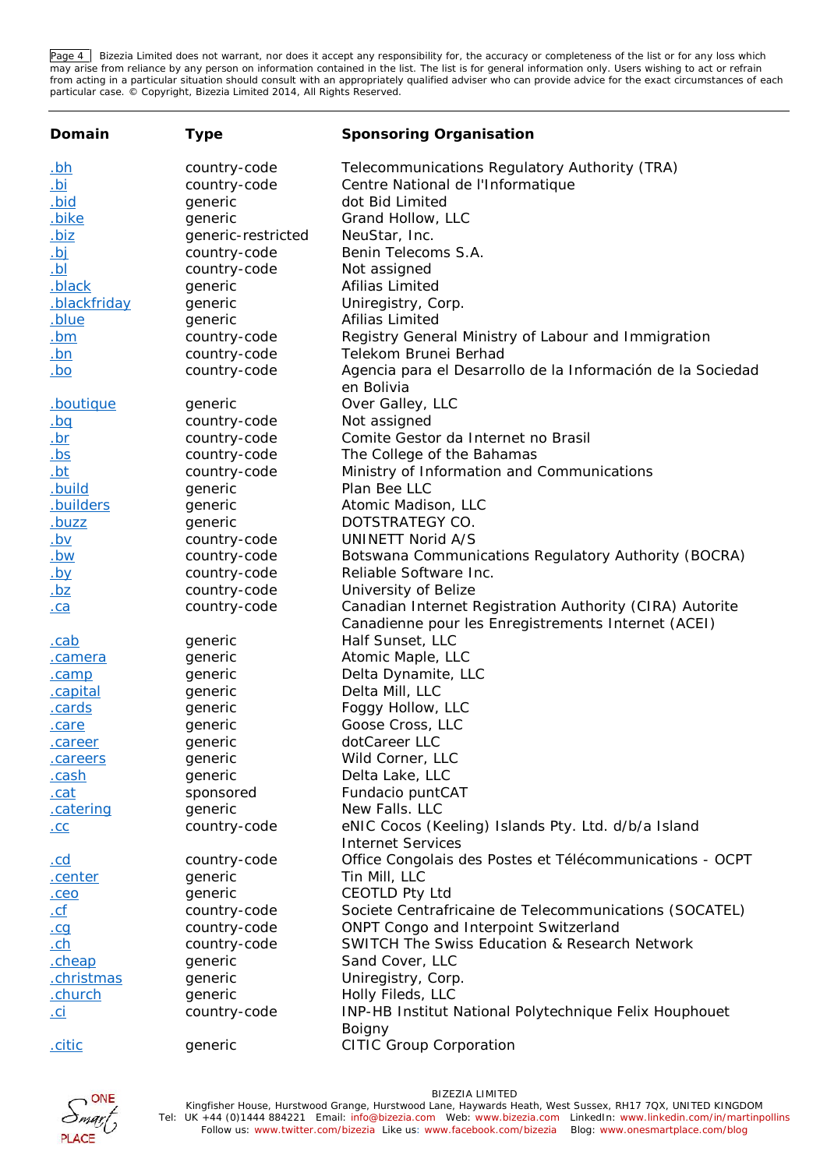Page 4 | Bizezia Limited does not warrant, nor does it accept any responsibility for, the accuracy or completeness of the list or for any loss which may arise from reliance by any person on information contained in the list. The list is for general information only. Users wishing to act or refrain from acting in a particular situation should consult with an appropriately qualified adviser who can provide advice for the exact circumstances of each particular case. © Copyright, Bizezia Limited 2014, All Rights Reserved.

| Domain              | Type               | Sponsoring Organisation                                                                                         |
|---------------------|--------------------|-----------------------------------------------------------------------------------------------------------------|
| <u>.bh</u>          | country-code       | Telecommunications Regulatory Authority (TRA)                                                                   |
| <u>id.</u>          | country-code       | Centre National de l'Informatique                                                                               |
| <u>.bid</u>         | generic            | dot Bid Limited                                                                                                 |
| .bike               | generic            | Grand Hollow, LLC                                                                                               |
| <u>.biz</u>         | generic-restricted | NeuStar, Inc.                                                                                                   |
| <u>.bj</u>          | country-code       | Benin Telecoms S.A.                                                                                             |
| $\underline{Id}$ .  | country-code       | Not assigned                                                                                                    |
| .black              | generic            | Afilias Limited                                                                                                 |
| <u>.blackfriday</u> | generic            | Uniregistry, Corp.                                                                                              |
| blue.               | generic            | Afilias Limited                                                                                                 |
| <u>.bm</u>          | country-code       | Registry General Ministry of Labour and Immigration                                                             |
| <u>.bn</u>          | country-code       | Telekom Brunei Berhad                                                                                           |
| <u>.bo</u>          | country-code       | Agencia para el Desarrollo de la Información de la Sociedad<br>en Bolivia                                       |
| .boutique           | generic            | Over Galley, LLC                                                                                                |
| <u>.bq</u>          | country-code       | Not assigned                                                                                                    |
| <u>.br</u>          | country-code       | Comite Gestor da Internet no Brasil                                                                             |
| <u>.bs</u>          | country-code       | The College of the Bahamas                                                                                      |
| <u>.bt</u>          | country-code       | Ministry of Information and Communications                                                                      |
| <u>.build</u>       | generic            | Plan Bee LLC                                                                                                    |
| .builders           | generic            | Atomic Madison, LLC                                                                                             |
| <u>.buzz</u>        | generic            | DOTSTRATEGY CO.                                                                                                 |
| <u>.bv</u>          | country-code       | UNINETT Norid A/S                                                                                               |
| <u>.bw</u>          | country-code       | Botswana Communications Regulatory Authority (BOCRA)                                                            |
| $by$                | country-code       | Reliable Software Inc.                                                                                          |
| $\underline{.}$ bz  | country-code       | University of Belize                                                                                            |
| ca                  | country-code       | Canadian Internet Registration Authority (CIRA) Autorite<br>Canadienne pour les Enregistrements Internet (ACEI) |
| <u>.cab</u>         | generic            | Half Sunset, LLC                                                                                                |
| <u>.camera</u>      | generic            | Atomic Maple, LLC                                                                                               |
| .camp               | generic            | Delta Dynamite, LLC                                                                                             |
| .capital            | generic            | Delta Mill, LLC                                                                                                 |
| .cards              | generic            | Foggy Hollow, LLC                                                                                               |
| .care               | generic            | Goose Cross, LLC                                                                                                |
| .career             | generic            | dotCareer LLC                                                                                                   |
| careers             | generic            | Wild Corner, LLC                                                                                                |
| <u>.cash</u>        | generic            | Delta Lake, LLC                                                                                                 |
| .cat                | sponsored          | Fundacio puntCAT                                                                                                |
| catering            | generic            | New Falls. LLC                                                                                                  |
| .CC                 | country-code       | eNIC Cocos (Keeling) Islands Pty. Ltd. d/b/a Island                                                             |
|                     |                    | Internet Services                                                                                               |
| <u>.cd</u>          | country-code       | Office Congolais des Postes et Télécommunications - OCPT                                                        |
| <u>.center</u>      | generic            | Tin Mill, LLC                                                                                                   |
| $. \overline{ceo}$  | generic            | <b>CEOTLD Pty Ltd</b>                                                                                           |
| <u>.cf</u>          | country-code       | Societe Centrafricaine de Telecommunications (SOCATEL)                                                          |
| .cq                 | country-code       | ONPT Congo and Interpoint Switzerland                                                                           |
| $ch$                | country-code       | SWITCH The Swiss Education & Research Network                                                                   |
| cheap               | generic            | Sand Cover, LLC                                                                                                 |
| .christmas          | generic            | Uniregistry, Corp.                                                                                              |
| .church             | generic            | Holly Fileds, LLC                                                                                               |
| <u>.ci</u>          | country-code       | INP-HB Institut National Polytechnique Felix Houphouet                                                          |
|                     |                    | Boigny                                                                                                          |
| .citic              | generic            | <b>CITIC Group Corporation</b>                                                                                  |

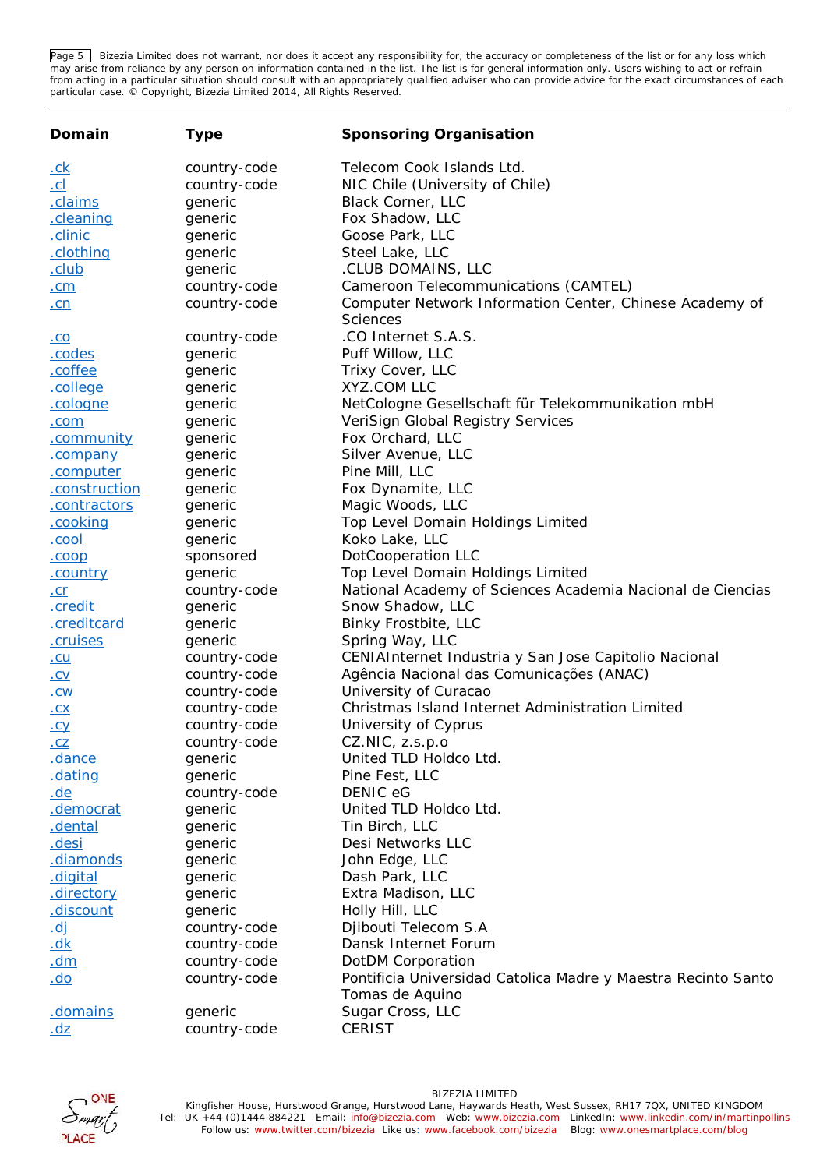Page 5 | Bizezia Limited does not warrant, nor does it accept any responsibility for, the accuracy or completeness of the list or for any loss which may arise from reliance by any person on information contained in the list. The list is for general information only. Users wishing to act or refrain from acting in a particular situation should consult with an appropriately qualified adviser who can provide advice for the exact circumstances of each particular case. © Copyright, Bizezia Limited 2014, All Rights Reserved.

| Domain           | Type         | Sponsoring Organisation                                                          |
|------------------|--------------|----------------------------------------------------------------------------------|
| <u>.ck</u>       | country-code | Telecom Cook Islands Ltd.                                                        |
| CL               | country-code | NIC Chile (University of Chile)                                                  |
| .claims          | generic      | <b>Black Corner, LLC</b>                                                         |
| cleaning         | generic      | Fox Shadow, LLC                                                                  |
| .clinic          | generic      | Goose Park, LLC                                                                  |
| .clothing        | generic      | Steel Lake, LLC                                                                  |
| <u>.club</u>     | generic      | .CLUB DOMAINS, LLC                                                               |
| . <sub>cm</sub>  | country-code | Cameroon Telecommunications (CAMTEL)                                             |
| <u>.cn</u>       | country-code | Computer Network Information Center, Chinese Academy of                          |
|                  |              | Sciences                                                                         |
| <u>.co</u>       | country-code | .CO Internet S.A.S.                                                              |
| codes.           | generic      | Puff Willow, LLC                                                                 |
| .coffee          | generic      | Trixy Cover, LLC                                                                 |
| .college         | generic      | XYZ.COM LLC                                                                      |
| cologne.         | generic      | NetCologne Gesellschaft für Telekommunikation mbH                                |
| .com             | generic      | VeriSign Global Registry Services                                                |
| .community       | generic      | Fox Orchard, LLC                                                                 |
| .company         | generic      | Silver Avenue, LLC                                                               |
| .computer        | generic      | Pine Mill, LLC                                                                   |
| .construction    | generic      | Fox Dynamite, LLC                                                                |
| .contractors     | generic      | Magic Woods, LLC                                                                 |
| .cooking         | generic      | Top Level Domain Holdings Limited                                                |
| .cool            | generic      | Koko Lake, LLC                                                                   |
| .coop            | sponsored    | DotCooperation LLC                                                               |
| <u>.country</u>  | generic      | Top Level Domain Holdings Limited                                                |
| <u>.cr</u>       | country-code | National Academy of Sciences Academia Nacional de Ciencias                       |
| .credit          | generic      | Snow Shadow, LLC                                                                 |
| .creditcard      | generic      | Binky Frostbite, LLC                                                             |
| .cruises         | generic      | Spring Way, LLC                                                                  |
| <u>.cu</u>       | country-code | CENIAInternet Industria y San Jose Capitolio Nacional                            |
| .CV              | country-code | Agência Nacional das Comunicações (ANAC)                                         |
| .CW              | country-code | University of Curacao                                                            |
| .CX              | country-code | Christmas Island Internet Administration Limited                                 |
| <u>.cy</u>       | country-code | University of Cyprus                                                             |
| .CZ              | country-code | CZ.NIC, z.s.p.o                                                                  |
| dance.           | generic      | United TLD Holdco Ltd.                                                           |
| dating           | generic      | Pine Fest, LLC                                                                   |
| <u>.de</u>       | country-code | DENIC eG                                                                         |
| .democrat        | generic      | United TLD Holdco Ltd.                                                           |
| .dental          | generic      | Tin Birch, LLC                                                                   |
| <u>.desi</u>     | generic      | Desi Networks LLC                                                                |
| diamonds         | generic      | John Edge, LLC                                                                   |
| digital.         | generic      | Dash Park, LLC                                                                   |
| <u>directory</u> | generic      | Extra Madison, LLC                                                               |
| <u>.discount</u> | generic      | Holly Hill, LLC                                                                  |
| <u>.dj</u>       | country-code | Djibouti Telecom S.A                                                             |
| <u>.dk</u>       | country-code | Dansk Internet Forum                                                             |
| <u>.dm</u>       | country-code | DotDM Corporation                                                                |
| <u>.do</u>       | country-code | Pontificia Universidad Catolica Madre y Maestra Recinto Santo<br>Tomas de Aquino |
| domains          | generic      | Sugar Cross, LLC                                                                 |
| <u>.dz</u>       | country-code | <b>CERIST</b>                                                                    |
|                  |              |                                                                                  |

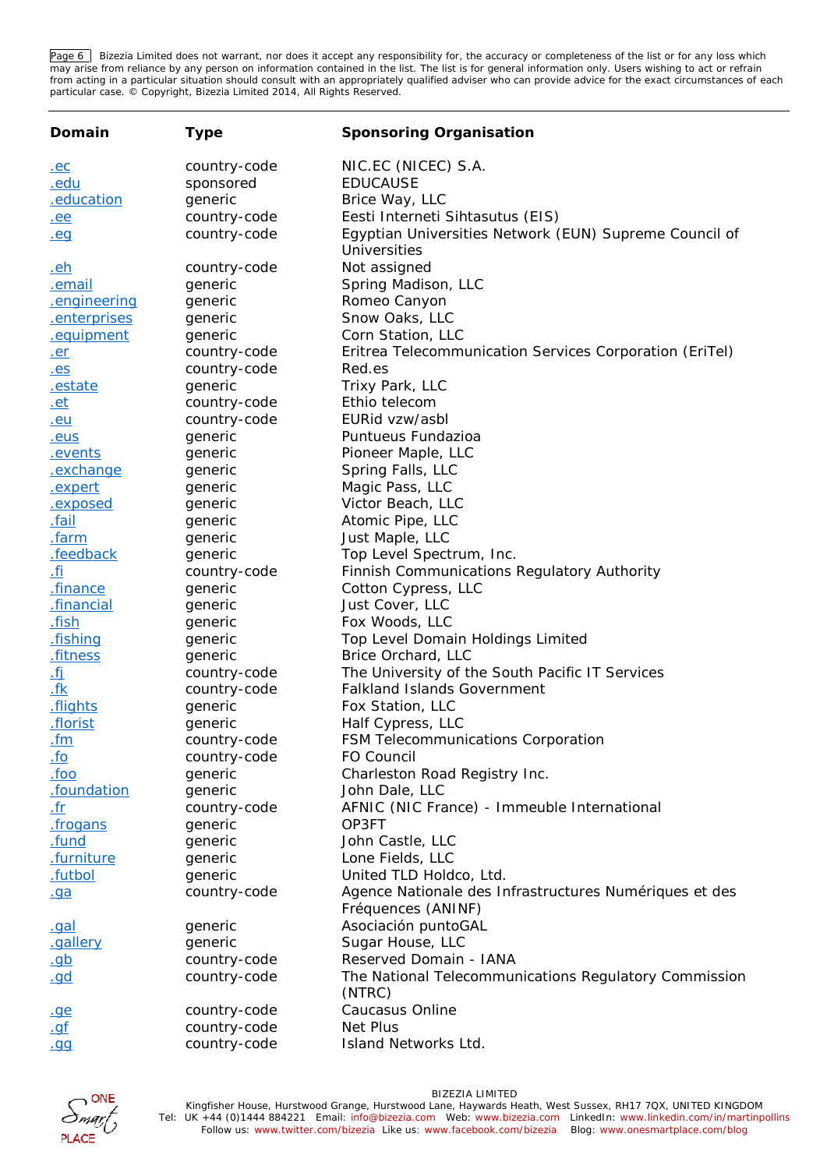Page 6 | Bizezia Limited does not warrant, nor does it accept any responsibility for, the accuracy or completeness of the list or for any loss which may arise from reliance by any person on information contained in the list. The list is for general information only. Users wishing to act or refrain from acting in a particular situation should consult with an appropriately qualified adviser who can provide advice for the exact circumstances of each particular case. © Copyright, Bizezia Limited 2014, All Rights Reserved.

| Domain           | Type         | Sponsoring Organisation                                                |
|------------------|--------------|------------------------------------------------------------------------|
| <u>.ec</u>       | country-code | NIC.EC (NICEC) S.A.                                                    |
| <u>.edu</u>      | sponsored    | <b>EDUCAUSE</b>                                                        |
| education.       | generic      | Brice Way, LLC                                                         |
| ee.              | country-code | Eesti Interneti Sihtasutus (EIS)                                       |
| . <sub>eg</sub>  | country-code | Egyptian Universities Network (EUN) Supreme Council of<br>Universities |
| <u>.eh</u>       | country-code | Not assigned                                                           |
| <u>.email</u>    | generic      | Spring Madison, LLC                                                    |
| engineering      | generic      | Romeo Canyon                                                           |
| .enterprises     | generic      | Snow Oaks, LLC                                                         |
| .equipment       | generic      | Corn Station, LLC                                                      |
| .er              | country-code | Eritrea Telecommunication Services Corporation (EriTel)                |
| . e <sub>S</sub> | country-code | Red.es                                                                 |
| estate           | generic      | Trixy Park, LLC                                                        |
| <u>.et</u>       | country-code | Ethio telecom                                                          |
| .eu              | country-code | EURid vzw/asbl                                                         |
| .eus             | generic      | Puntueus Fundazioa                                                     |
| <u>.events</u>   | generic      | Pioneer Maple, LLC                                                     |
| exchange         | generic      | Spring Falls, LLC                                                      |
| .expert          | generic      | Magic Pass, LLC                                                        |
| <u>.exposed</u>  | generic      | Victor Beach, LLC                                                      |
| <u>.fail</u>     | generic      | Atomic Pipe, LLC                                                       |
| .farm            | generic      | Just Maple, LLC                                                        |
| .feedback        | generic      | Top Level Spectrum, Inc.                                               |
| <u>fi.</u>       | country-code | Finnish Communications Regulatory Authority                            |
| finance          | generic      | Cotton Cypress, LLC                                                    |
| financial.       | generic      | Just Cover, LLC                                                        |
| fish.            | generic      | Fox Woods, LLC                                                         |
| fishing.         | generic      | Top Level Domain Holdings Limited                                      |
| fitness.         | generic      | Brice Orchard, LLC                                                     |
| <u>.fj</u>       | country-code | The University of the South Pacific IT Services                        |
| <u>.fk</u>       | country-code | <b>Falkland Islands Government</b>                                     |
| .flights         | generic      | Fox Station, LLC                                                       |
| .florist         | generic      | Half Cypress, LLC                                                      |
| <u>.fm</u>       | country-code | FSM Telecommunications Corporation                                     |
| <u>.fo</u>       | country-code | FO Council                                                             |
| .600             | generic      | Charleston Road Registry Inc.                                          |
| .foundation      | generic      | John Dale, LLC                                                         |
| <u>.fr</u>       | country-code | AFNIC (NIC France) - Immeuble International                            |
| frogans.         | generic      | OP3FT                                                                  |
| .fund            | generic      | John Castle, LLC                                                       |
| .furniture       | generic      | Lone Fields, LLC                                                       |
| .futbol          | generic      | United TLD Holdco, Ltd.                                                |
| .ga              | country-code | Agence Nationale des Infrastructures Numériques et des                 |
|                  |              | Fréquences (ANINF)                                                     |
| .gal             | generic      | Asociación puntoGAL                                                    |
| .gallery         | generic      | Sugar House, LLC                                                       |
| <u>.gb</u>       | country-code | Reserved Domain - IANA                                                 |
| <u>.gd</u>       | country-code | The National Telecommunications Regulatory Commission                  |
|                  |              | (NTRC)                                                                 |
| <u>.ge</u>       | country-code | Caucasus Online                                                        |
| . <u>qf</u>      | country-code | Net Plus                                                               |
| .99              | country-code | Island Networks Ltd.                                                   |

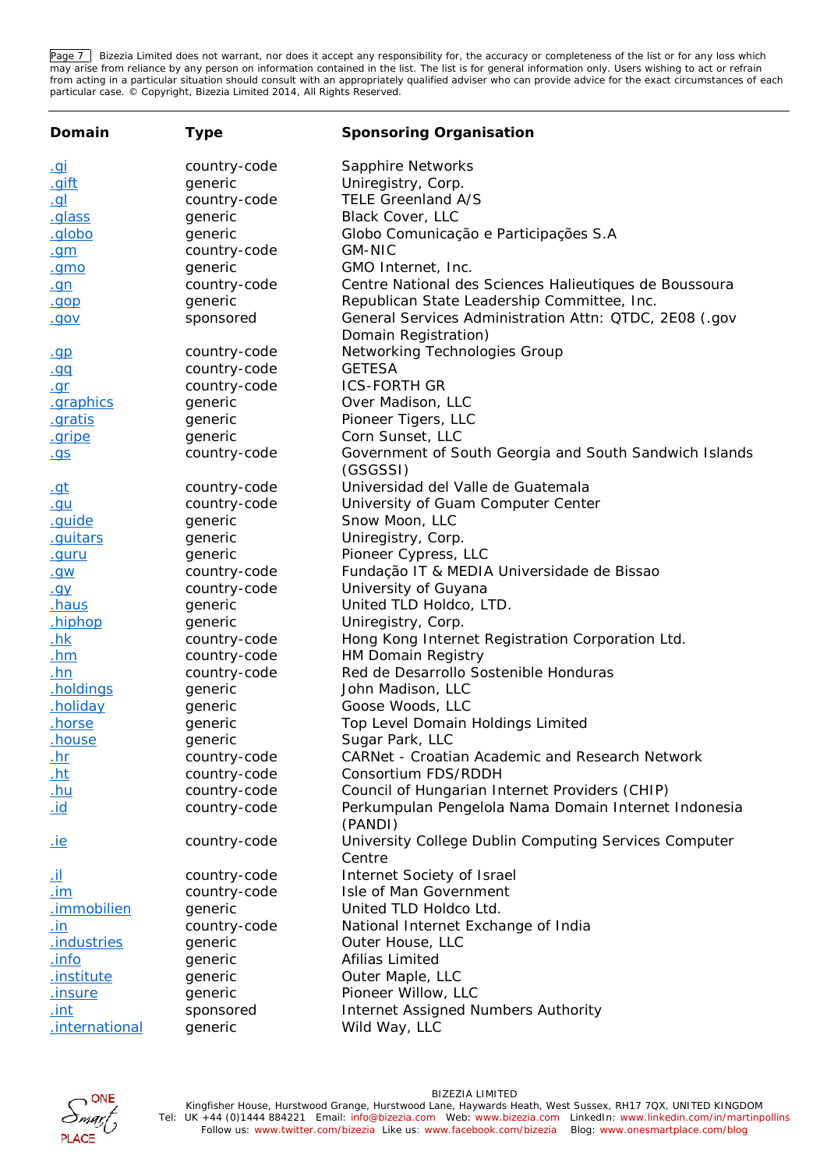Page 7 | Bizezia Limited does not warrant, nor does it accept any responsibility for, the accuracy or completeness of the list or for any loss which may arise from reliance by any person on information contained in the list. The list is for general information only. Users wishing to act or refrain from acting in a particular situation should consult with an appropriately qualified adviser who can provide advice for the exact circumstances of each particular case. © Copyright, Bizezia Limited 2014, All Rights Reserved.

| Domain            | Type         | Sponsoring Organisation                                                        |
|-------------------|--------------|--------------------------------------------------------------------------------|
| <u>.gi</u>        | country-code | Sapphire Networks                                                              |
| <u>.gift</u>      | generic      | Uniregistry, Corp.                                                             |
| <u>.gl</u>        | country-code | TELE Greenland A/S                                                             |
| <u>.glass</u>     | generic      | Black Cover, LLC                                                               |
| .globo            | generic      | Globo Comunicação e Participações S.A                                          |
| . <sub>gm</sub>   | country-code | <b>GM-NIC</b>                                                                  |
| .gmo              | generic      | GMO Internet, Inc.                                                             |
| <u>.gn</u>        | country-code | Centre National des Sciences Halieutiques de Boussoura                         |
| .gop              | generic      | Republican State Leadership Committee, Inc.                                    |
| <u>.gov</u>       | sponsored    | General Services Administration Attn: QTDC, 2E08 (.gov<br>Domain Registration) |
| q                 | country-code | Networking Technologies Group                                                  |
| .00               | country-code | <b>GETESA</b>                                                                  |
| $q_{\text{C}}$    | country-code | <b>ICS-FORTH GR</b>                                                            |
| .graphics         | generic      | Over Madison, LLC                                                              |
| .gratis           | generic      | Pioneer Tigers, LLC                                                            |
| <u>.gripe</u>     | generic      | Corn Sunset, LLC                                                               |
| <u>.gs</u>        | country-code | Government of South Georgia and South Sandwich Islands<br>(GSGSSI)             |
| <u>.gt</u>        | country-code | Universidad del Valle de Guatemala                                             |
| <u>.gu</u>        | country-code | University of Guam Computer Center                                             |
| .guide            | generic      | Snow Moon, LLC                                                                 |
| .guitars          | generic      | Uniregistry, Corp.                                                             |
| .guru             | generic      | Pioneer Cypress, LLC                                                           |
| <u>.gw</u>        | country-code | Fundação IT & MEDIA Universidade de Bissao                                     |
| <u>.gy</u>        | country-code | University of Guyana                                                           |
| haus.             | generic      | United TLD Holdco, LTD.                                                        |
| <u>hiphop</u>     | generic      | Uniregistry, Corp.                                                             |
| <u>.hk</u>        | country-code | Hong Kong Internet Registration Corporation Ltd.                               |
| <u>.hm</u>        | country-code | HM Domain Registry                                                             |
| .hn               | country-code | Red de Desarrollo Sostenible Honduras                                          |
| <u>holdings</u>   | generic      | John Madison, LLC                                                              |
| <u>.holiday</u>   | generic      | Goose Woods, LLC                                                               |
| <u>.horse</u>     | generic      | Top Level Domain Holdings Limited                                              |
| <u>.house</u>     | generic      | Sugar Park, LLC                                                                |
| <u>.hr</u>        | country-code | CARNet - Croatian Academic and Research Network                                |
| <u>.ht</u>        | country-code | Consortium FDS/RDDH                                                            |
| <u>.hu</u>        | country-code | Council of Hungarian Internet Providers (CHIP)                                 |
| <u>id.</u>        | country-code | Perkumpulan Pengelola Nama Domain Internet Indonesia<br>(PANDI)                |
| <u>.ie</u>        | country-code | University College Dublin Computing Services Computer<br>Centre                |
| <u>.il</u>        | country-code | Internet Society of Israel                                                     |
| <u>.im</u>        | country-code | Isle of Man Government                                                         |
| .immobilien       | generic      | United TLD Holdco Ltd.                                                         |
| <u>.in</u>        | country-code | National Internet Exchange of India                                            |
| industries.       | generic      | Outer House, LLC                                                               |
| .info             | generic      | Afilias Limited                                                                |
| <u>.institute</u> | generic      | Outer Maple, LLC                                                               |
| <u>.insure</u>    | generic      | Pioneer Willow, LLC                                                            |
| <u>.int</u>       | sponsored    | Internet Assigned Numbers Authority                                            |
| .international    | generic      | Wild Way, LLC                                                                  |

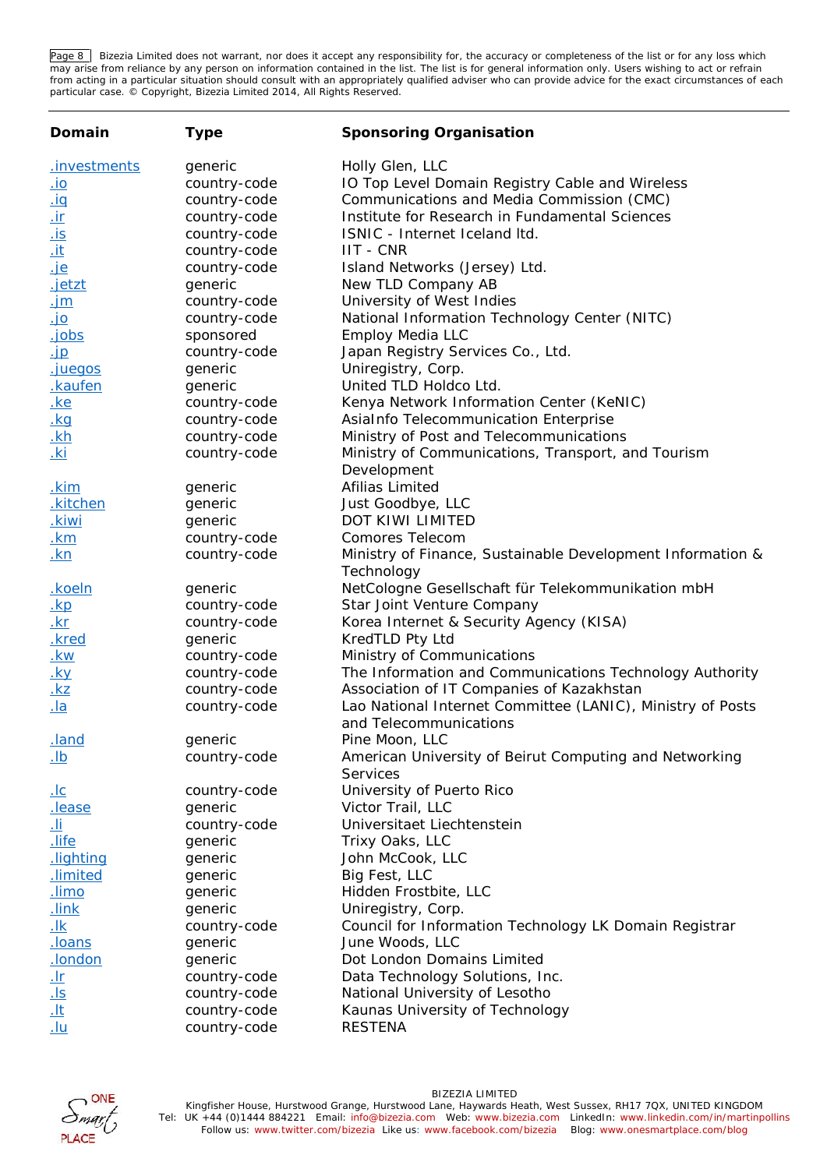Page 8 | Bizezia Limited does not warrant, nor does it accept any responsibility for, the accuracy or completeness of the list or for any loss which may arise from reliance by any person on information contained in the list. The list is for general information only. Users wishing to act or refrain from acting in a particular situation should consult with an appropriately qualified adviser who can provide advice for the exact circumstances of each particular case. © Copyright, Bizezia Limited 2014, All Rights Reserved.

| Domain                  | Type         | Sponsoring Organisation                                                              |
|-------------------------|--------------|--------------------------------------------------------------------------------------|
| .investments            | generic      | Holly Glen, LLC                                                                      |
| <u>io.</u>              | country-code | IO Top Level Domain Registry Cable and Wireless                                      |
| <u>iq</u>               | country-code | Communications and Media Commission (CMC)                                            |
| $\underline{\text{ir}}$ | country-code | Institute for Research in Fundamental Sciences                                       |
| <u>is</u>               | country-code | ISNIC - Internet Iceland Itd.                                                        |
| <u>.it</u>              | country-code | <b>IIT - CNR</b>                                                                     |
| <u>je</u>               | country-code | Island Networks (Jersey) Ltd.                                                        |
| <u>.jetzt</u>           | generic      | New TLD Company AB                                                                   |
| <u>.jm</u>              | country-code | University of West Indies                                                            |
| <u>io.</u>              | country-code | National Information Technology Center (NITC)                                        |
| .jobs                   | sponsored    | <b>Employ Media LLC</b>                                                              |
| <u>.jp</u>              | country-code | Japan Registry Services Co., Ltd.                                                    |
| .juegos                 | generic      | Uniregistry, Corp.                                                                   |
| kaufen.                 | generic      | United TLD Holdco Ltd.                                                               |
| <u>.ke</u>              | country-code | Kenya Network Information Center (KeNIC)                                             |
| <u>.kg</u>              | country-code | AsiaInfo Telecommunication Enterprise                                                |
| <u>.kh</u>              | country-code | Ministry of Post and Telecommunications                                              |
| <u>.ki</u>              | country-code | Ministry of Communications, Transport, and Tourism                                   |
|                         |              | Development                                                                          |
| <u>.kim</u>             | generic      | Afilias Limited                                                                      |
| .kitchen                | generic      | Just Goodbye, LLC                                                                    |
| .kiwi                   | generic      | DOT KIWI LIMITED                                                                     |
| <u>.km</u>              | country-code | Comores Telecom                                                                      |
| <u>.kn</u>              | country-code | Ministry of Finance, Sustainable Development Information &<br>Technology             |
| <u>.koeln</u>           | generic      | NetCologne Gesellschaft für Telekommunikation mbH                                    |
| $\underline{k}$         | country-code | Star Joint Venture Company                                                           |
| $\underline{kr}$        | country-code | Korea Internet & Security Agency (KISA)                                              |
| .kred                   | generic      | KredTLD Pty Ltd                                                                      |
| <u>.kw</u>              | country-code | Ministry of Communications                                                           |
| <u>.ky</u>              | country-code | The Information and Communications Technology Authority                              |
| <u>.kz</u>              | country-code | Association of IT Companies of Kazakhstan                                            |
| $\underline{la}$        | country-code | Lao National Internet Committee (LANIC), Ministry of Posts<br>and Telecommunications |
| .land                   | generic      | Pine Moon, LLC                                                                       |
| <u>lb.</u>              | country-code | American University of Beirut Computing and Networking<br>Services                   |
| <u>.lc</u>              | country-code | University of Puerto Rico                                                            |
| lease.                  | generic      | Victor Trail, LLC                                                                    |
| <u>.li</u>              | country-code | Universitaet Liechtenstein                                                           |
| <u>life</u>             | generic      | Trixy Oaks, LLC                                                                      |
| lighting                | generic      | John McCook, LLC                                                                     |
| .limited                | generic      | Big Fest, LLC                                                                        |
| <u>limo.</u>            | generic      | Hidden Frostbite, LLC                                                                |
| <u>link.</u>            | generic      | Uniregistry, Corp.                                                                   |
| <u>.lk</u>              | country-code | Council for Information Technology LK Domain Registrar                               |
| <u>.loans</u>           | generic      | June Woods, LLC                                                                      |
| .london                 | generic      | Dot London Domains Limited                                                           |
| <u>.Ir</u>              | country-code | Data Technology Solutions, Inc.                                                      |
| <u>ls</u>               | country-code | National University of Lesotho                                                       |
| <u>.lt</u>              | country-code | Kaunas University of Technology                                                      |
| <u>.lu</u>              | country-code | <b>RESTENA</b>                                                                       |

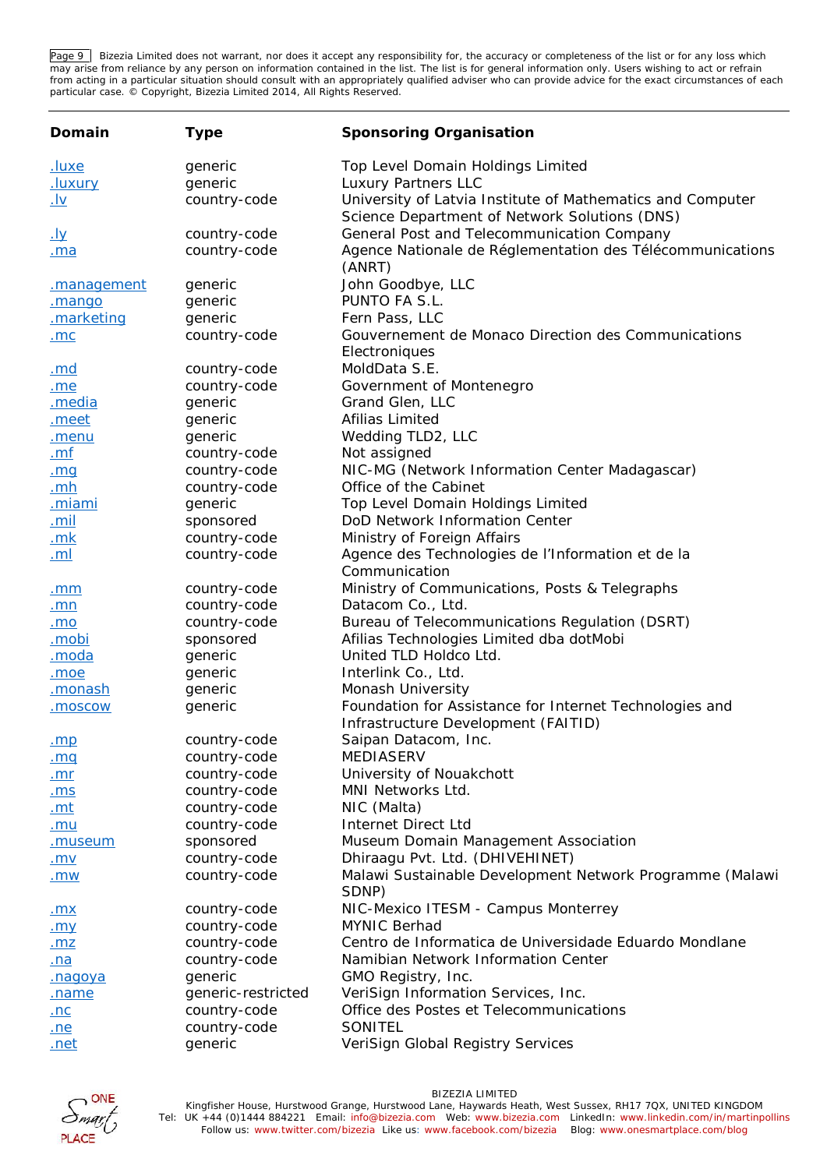Page 9 | Bizezia Limited does not warrant, nor does it accept any responsibility for, the accuracy or completeness of the list or for any loss which may arise from reliance by any person on information contained in the list. The list is for general information only. Users wishing to act or refrain from acting in a particular situation should consult with an appropriately qualified adviser who can provide advice for the exact circumstances of each particular case. © Copyright, Bizezia Limited 2014, All Rights Reserved.

| Domain             | Type               | Sponsoring Organisation                                                                                     |
|--------------------|--------------------|-------------------------------------------------------------------------------------------------------------|
| <u>.luxe</u>       | generic            | Top Level Domain Holdings Limited                                                                           |
| <u>.luxury</u>     | generic            | Luxury Partners LLC                                                                                         |
| <u>.lv</u>         | country-code       | University of Latvia Institute of Mathematics and Computer<br>Science Department of Network Solutions (DNS) |
| <u>. Іу</u>        | country-code       | General Post and Telecommunication Company                                                                  |
| <u>.ma</u>         | country-code       | Agence Nationale de Réglementation des Télécommunications<br>(ANRT)                                         |
| <u>management.</u> | generic            | John Goodbye, LLC                                                                                           |
| .mango             | generic            | PUNTO FA S.L.                                                                                               |
| .marketing         | generic            | Fern Pass, LLC                                                                                              |
| <u>.mc</u>         | country-code       | Gouvernement de Monaco Direction des Communications                                                         |
|                    |                    | Electroniques                                                                                               |
| <u>.md</u>         | country-code       | MoldData S.E.                                                                                               |
| .me                | country-code       | Government of Montenegro                                                                                    |
| .media             | generic            | Grand Glen, LLC                                                                                             |
| meet               | generic            | Afilias Limited                                                                                             |
| .menu              | generic            | Wedding TLD2, LLC                                                                                           |
| <u>.mf</u>         | country-code       | Not assigned                                                                                                |
| .mq                | country-code       | NIC-MG (Network Information Center Madagascar)                                                              |
| .mh                | country-code       | Office of the Cabinet                                                                                       |
| <u>.miami</u>      | generic            | Top Level Domain Holdings Limited                                                                           |
| <u>.mil</u>        | sponsored          | DoD Network Information Center                                                                              |
| $\mathbf{m}$       | country-code       | Ministry of Foreign Affairs                                                                                 |
| <u>.ml</u>         | country-code       | Agence des Technologies de l'Information et de la<br>Communication                                          |
| .mm                | country-code       | Ministry of Communications, Posts & Telegraphs                                                              |
| <u>.mn</u>         | country-code       | Datacom Co., Ltd.                                                                                           |
| .mo                | country-code       | Bureau of Telecommunications Regulation (DSRT)                                                              |
| <u>.mobi</u>       | sponsored          | Afilias Technologies Limited dba dotMobi                                                                    |
| moda               | generic            | United TLD Holdco Ltd.                                                                                      |
| .moe               | generic            | Interlink Co., Ltd.                                                                                         |
| <u>.monash</u>     | generic            | Monash University                                                                                           |
| .moscow            | generic            | Foundation for Assistance for Internet Technologies and                                                     |
|                    |                    | Infrastructure Development (FAITID)                                                                         |
| .mp                | country-code       | Saipan Datacom, Inc.                                                                                        |
| .mq                | country-code       | MEDIASERV                                                                                                   |
| .mr                | country-code       | University of Nouakchott                                                                                    |
| <u>.ms</u>         | country-code       | MNI Networks Ltd.                                                                                           |
| <u>.mt</u>         | country-code       | NIC (Malta)                                                                                                 |
| <u>.mu</u>         | country-code       | Internet Direct Ltd                                                                                         |
| <u>.museum</u>     | sponsored          | Museum Domain Management Association                                                                        |
| <u>.mv</u>         | country-code       | Dhiraagu Pvt. Ltd. (DHIVEHINET)                                                                             |
| .mw                | country-code       | Malawi Sustainable Development Network Programme (Malawi<br>SDNP)                                           |
| <u>.mx</u>         | country-code       | NIC-Mexico ITESM - Campus Monterrey                                                                         |
| .my                | country-code       | <b>MYNIC Berhad</b>                                                                                         |
| <u>.mz</u>         | country-code       | Centro de Informatica de Universidade Eduardo Mondlane                                                      |
| <u>.na</u>         | country-code       | Namibian Network Information Center                                                                         |
| <u>.nagoya</u>     | generic            | GMO Registry, Inc.                                                                                          |
| name.              | generic-restricted | VeriSign Information Services, Inc.                                                                         |
| <u>.nc</u>         | country-code       | Office des Postes et Telecommunications                                                                     |
| .ne                | country-code       | SONITEL                                                                                                     |
| <u>.net</u>        | generic            | VeriSign Global Registry Services                                                                           |

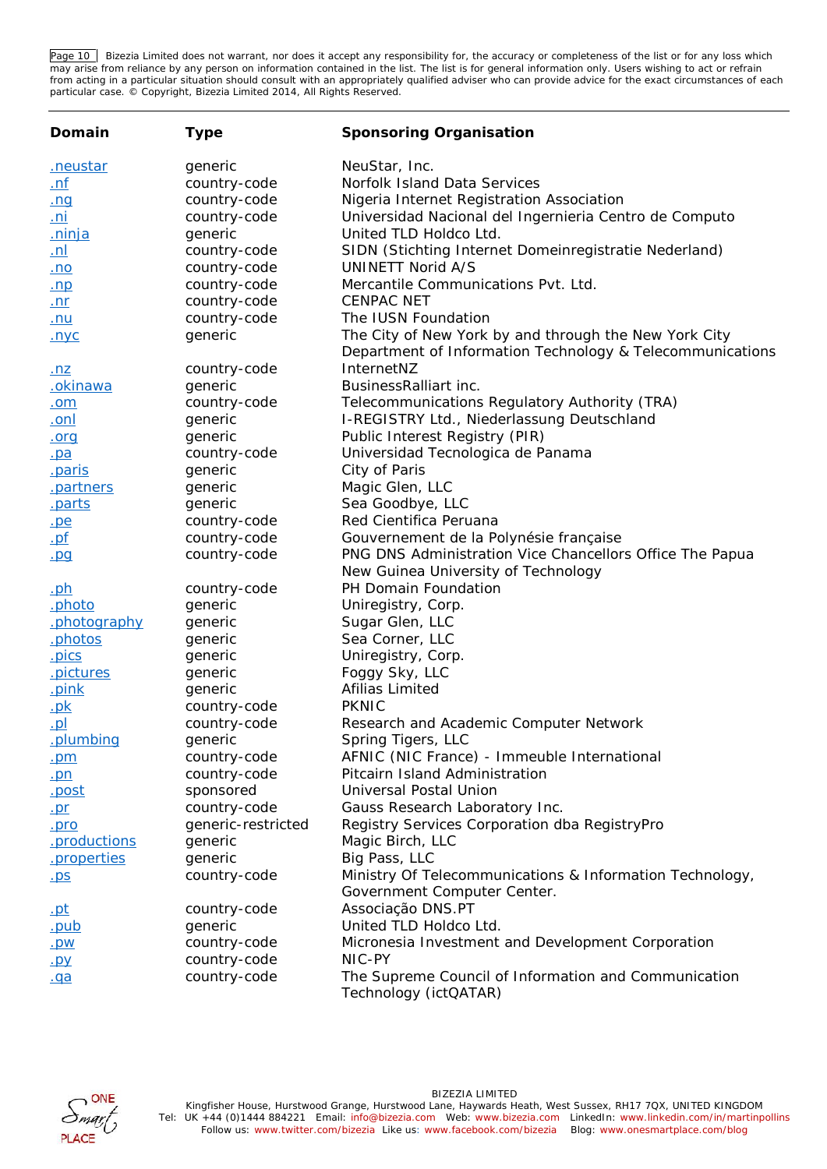Page 10 Bizezia Limited does not warrant, nor does it accept any responsibility for, the accuracy or completeness of the list or for any loss which may arise from reliance by any person on information contained in the list. The list is for general information only. Users wishing to act or refrain from acting in a particular situation should consult with an appropriately qualified adviser who can provide advice for the exact circumstances of each particular case. © Copyright, Bizezia Limited 2014, All Rights Reserved.

| Domain                              | Type                    | Sponsoring Organisation                                                                 |
|-------------------------------------|-------------------------|-----------------------------------------------------------------------------------------|
| <u>.neustar</u>                     | generic                 | NeuStar, Inc.                                                                           |
| <u>.nf</u>                          | country-code            | Norfolk Island Data Services                                                            |
| <u>.ng</u>                          | country-code            | Nigeria Internet Registration Association                                               |
| <u>.ni</u>                          | country-code            | Universidad Nacional del Ingernieria Centro de Computo                                  |
| <u>ninja</u>                        | generic                 | United TLD Holdco Ltd.                                                                  |
| <u>.nl</u>                          | country-code            | SIDN (Stichting Internet Domeinregistratie Nederland)                                   |
| <u>.no</u>                          | country-code            | UNINETT Norid A/S                                                                       |
| <u>.np</u>                          | country-code            | Mercantile Communications Pvt. Ltd.                                                     |
| <u>.nr</u>                          | country-code            | <b>CENPAC NET</b>                                                                       |
| <u>.nu</u>                          | country-code            | The IUSN Foundation                                                                     |
| <u>.nyc</u>                         | generic                 | The City of New York by and through the New York City                                   |
|                                     |                         | Department of Information Technology & Telecommunications                               |
| <u>.nz</u>                          | country-code            | InternetNZ                                                                              |
| .okinawa                            | generic                 | BusinessRalliart inc.                                                                   |
| <u>.om</u>                          | country-code            | Telecommunications Regulatory Authority (TRA)                                           |
| <u>.onl</u>                         | generic                 | I-REGISTRY Ltd., Niederlassung Deutschland                                              |
| .org                                | generic                 | Public Interest Registry (PIR)<br>Universidad Tecnologica de Panama                     |
| $\underline{\mathsf{pa}}$<br>.paris | country-code<br>generic | City of Paris                                                                           |
| .partners                           | generic                 | Magic Glen, LLC                                                                         |
| .parts                              | generic                 | Sea Goodbye, LLC                                                                        |
| .pe                                 | country-code            | Red Cientifica Peruana                                                                  |
| <u>.pf</u>                          | country-code            | Gouvernement de la Polynésie française                                                  |
| pq                                  | country-code            | PNG DNS Administration Vice Chancellors Office The Papua                                |
|                                     |                         | New Guinea University of Technology                                                     |
| <u>.ph</u>                          | country-code            | PH Domain Foundation                                                                    |
| .photo                              | generic                 | Uniregistry, Corp.                                                                      |
| .photography                        | generic                 | Sugar Glen, LLC                                                                         |
| .photos                             | generic                 | Sea Corner, LLC                                                                         |
| <u>pics</u>                         | generic                 | Uniregistry, Corp.                                                                      |
| .pictures                           | generic                 | Foggy Sky, LLC                                                                          |
| .pink                               | generic                 | Afilias Limited                                                                         |
| .pk                                 | country-code            | <b>PKNIC</b>                                                                            |
| $\underline{\mathsf{p}}$            | country-code            | Research and Academic Computer Network                                                  |
| .plumbing                           | generic                 | Spring Tigers, LLC                                                                      |
| .pm                                 | country-code            | AFNIC (NIC France) - Immeuble International                                             |
| $.$ pn                              | country-code            | Pitcairn Island Administration                                                          |
| <u>.post</u>                        | sponsored               | Universal Postal Union                                                                  |
| $p_{r}$                             | country-code            | Gauss Research Laboratory Inc.                                                          |
| .pro                                | generic-restricted      | Registry Services Corporation dba RegistryPro                                           |
| .productions                        | generic                 | Magic Birch, LLC                                                                        |
| .properties                         | generic                 | Big Pass, LLC                                                                           |
| $.$ ps                              | country-code            | Ministry Of Telecommunications & Information Technology,<br>Government Computer Center. |
| .pt                                 | country-code            | Associação DNS.PT                                                                       |
| <u>.pub</u>                         | generic                 | United TLD Holdco Ltd.                                                                  |
| .pw                                 | country-code            | Micronesia Investment and Development Corporation                                       |
| <u>.py</u>                          | country-code            | NIC-PY                                                                                  |
| .qa                                 | country-code            | The Supreme Council of Information and Communication<br>Technology (ictQATAR)           |

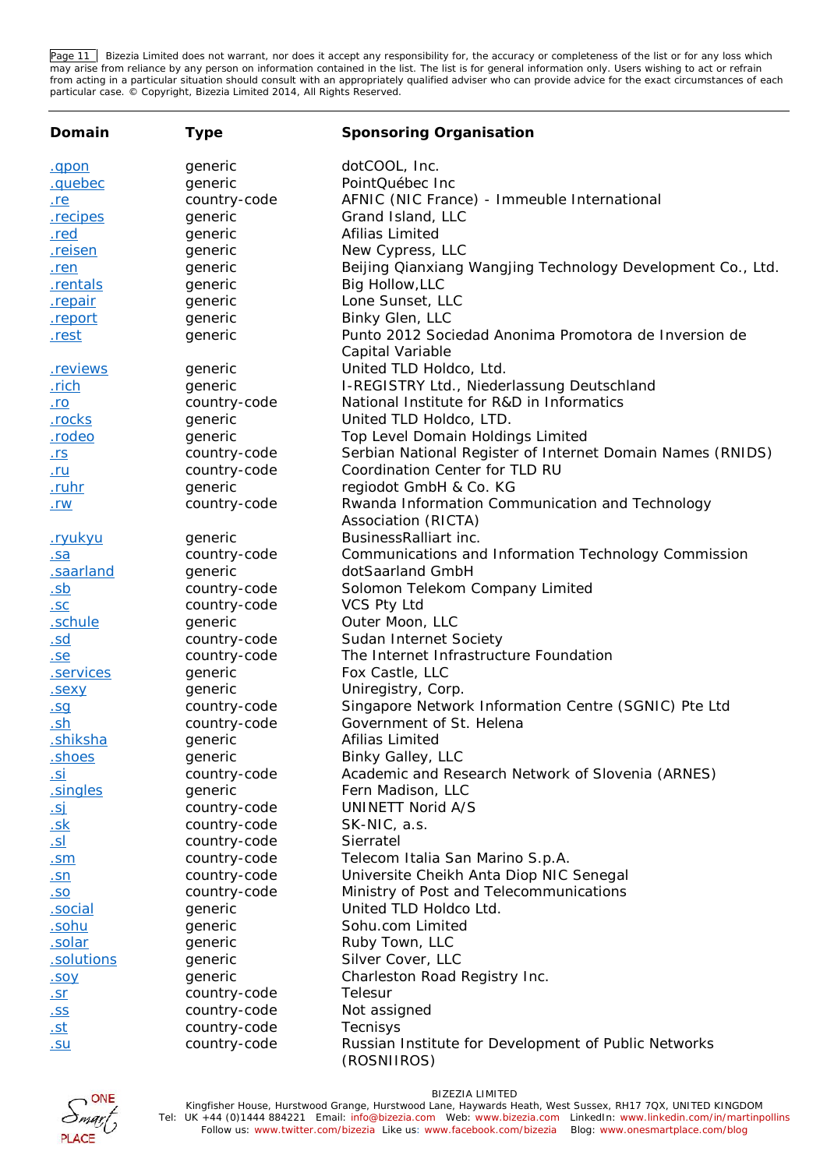Page 11 Bizezia Limited does not warrant, nor does it accept any responsibility for, the accuracy or completeness of the list or for any loss which may arise from reliance by any person on information contained in the list. The list is for general information only. Users wishing to act or refrain from acting in a particular situation should consult with an appropriately qualified adviser who can provide advice for the exact circumstances of each particular case. © Copyright, Bizezia Limited 2014, All Rights Reserved.

| Domain                         | Type         | Sponsoring Organisation                                                   |
|--------------------------------|--------------|---------------------------------------------------------------------------|
| .gpon                          | generic      | dotCOOL, Inc.                                                             |
| .quebec                        | generic      | PointQuébec Inc                                                           |
| <u>.re</u>                     | country-code | AFNIC (NIC France) - Immeuble International                               |
| .recipes                       | generic      | Grand Island, LLC                                                         |
| .red                           | generic      | Afilias Limited                                                           |
| .reisen                        | generic      | New Cypress, LLC                                                          |
| .ren                           | generic      | Beijing Qianxiang Wangjing Technology Development Co., Ltd.               |
| .rentals                       | generic      | Big Hollow, LLC                                                           |
| .repair                        | generic      | Lone Sunset, LLC                                                          |
| .report                        | generic      | Binky Glen, LLC                                                           |
| .rest                          | generic      | Punto 2012 Sociedad Anonima Promotora de Inversion de<br>Capital Variable |
| .reviews                       | generic      | United TLD Holdco, Ltd.                                                   |
| .rich                          | generic      | I-REGISTRY Ltd., Niederlassung Deutschland                                |
| <u>.ro</u>                     | country-code | National Institute for R&D in Informatics                                 |
| .rocks                         | generic      | United TLD Holdco, LTD.                                                   |
| <u>rodeo</u>                   | generic      | Top Level Domain Holdings Limited                                         |
| <u>.rs</u>                     | country-code | Serbian National Register of Internet Domain Names (RNIDS)                |
| <u>.ru</u>                     | country-code | Coordination Center for TLD RU                                            |
| <u>.ruhr</u>                   | generic      | regiodot GmbH & Co. KG                                                    |
| <u>.rw</u>                     | country-code | Rwanda Information Communication and Technology                           |
|                                |              | Association (RICTA)                                                       |
| .ryukyu                        | generic      | BusinessRalliart inc.                                                     |
| .sa                            | country-code | Communications and Information Technology Commission                      |
| .saarland                      | generic      | dotSaarland GmbH                                                          |
| <u>.sb</u>                     | country-code | Solomon Telekom Company Limited                                           |
| .5C                            | country-code | VCS Pty Ltd                                                               |
| .schule                        | generic      | Outer Moon, LLC                                                           |
| .sd                            | country-code | Sudan Internet Society                                                    |
| .se                            | country-code | The Internet Infrastructure Foundation                                    |
| .services                      | generic      | Fox Castle, LLC                                                           |
| .sexy                          | generic      | Uniregistry, Corp.                                                        |
| .SQ                            | country-code | Singapore Network Information Centre (SGNIC) Pte Ltd                      |
| <u>.sh</u>                     | country-code | Government of St. Helena                                                  |
| <u>.shiksha</u>                | generic      | Afilias Limited                                                           |
| <u>shoes</u>                   | generic      | Binky Galley, LLC                                                         |
| <u>.si</u>                     | country-code | Academic and Research Network of Slovenia (ARNES)                         |
| .singles                       | generic      | Fern Madison, LLC                                                         |
| <u>.sj</u>                     | country-code | <b>UNINETT Norid A/S</b>                                                  |
| <u>.sk</u>                     | country-code | SK-NIC, a.s.                                                              |
| <u>.sl</u>                     | country-code | Sierratel                                                                 |
| <u>.sm</u>                     | country-code | Telecom Italia San Marino S.p.A.                                          |
| <u>.sn</u>                     | country-code | Universite Cheikh Anta Diop NIC Senegal                                   |
| <u>.so</u>                     | country-code | Ministry of Post and Telecommunications                                   |
| social                         | generic      | United TLD Holdco Ltd.                                                    |
| .sohu                          | generic      | Sohu.com Limited                                                          |
| .solar                         | generic      | Ruby Town, LLC                                                            |
| .solutions                     | generic      | Silver Cover, LLC                                                         |
| .soy                           | generic      | Charleston Road Registry Inc.                                             |
| $\underline{sr}$               | country-code | Telesur                                                                   |
| <u>.SS</u>                     | country-code | Not assigned                                                              |
| <u>.st</u>                     | country-code | Tecnisys                                                                  |
| $\underline{.} \underline{su}$ | country-code | Russian Institute for Development of Public Networks<br>(ROSNIIROS)       |

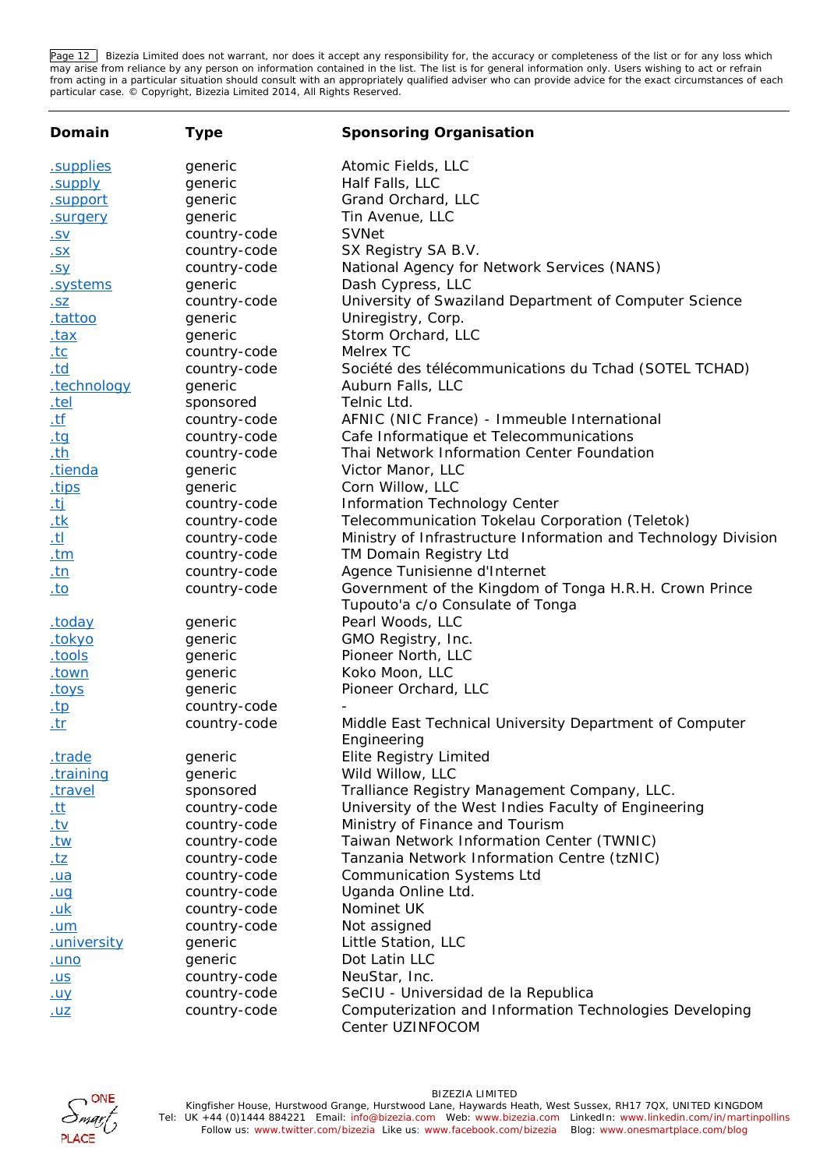Page 12 Bizezia Limited does not warrant, nor does it accept any responsibility for, the accuracy or completeness of the list or for any loss which may arise from reliance by any person on information contained in the list. The list is for general information only. Users wishing to act or refrain from acting in a particular situation should consult with an appropriately qualified adviser who can provide advice for the exact circumstances of each particular case. © Copyright, Bizezia Limited 2014, All Rights Reserved.

| Domain                                          | Type         | Sponsoring Organisation                                                                    |
|-------------------------------------------------|--------------|--------------------------------------------------------------------------------------------|
| .supplies                                       | generic      | Atomic Fields, LLC                                                                         |
| .supply                                         | generic      | Half Falls, LLC                                                                            |
| .support                                        | generic      | Grand Orchard, LLC                                                                         |
| .surgery                                        | generic      | Tin Avenue, LLC                                                                            |
| <u>.SV</u>                                      | country-code | <b>SVNet</b>                                                                               |
| <u>.SX</u>                                      | country-code | SX Registry SA B.V.                                                                        |
| <u>.sy</u>                                      | country-code | National Agency for Network Services (NANS)                                                |
| .systems                                        | generic      | Dash Cypress, LLC                                                                          |
| .5Z                                             | country-code | University of Swaziland Department of Computer Science                                     |
| .tattoo                                         | generic      | Uniregistry, Corp.                                                                         |
| <u>.tax</u>                                     | generic      | Storm Orchard, LLC                                                                         |
| <u>.tc</u>                                      | country-code | Melrex TC                                                                                  |
| <u>.td</u>                                      | country-code | Société des télécommunications du Tchad (SOTEL TCHAD)                                      |
| .technology                                     | generic      | Auburn Falls, LLC                                                                          |
| <u>.tel</u>                                     | sponsored    | Telnic Ltd.                                                                                |
| $\underline{.tf}$                               | country-code | AFNIC (NIC France) - Immeuble International                                                |
| $ty$                                            | country-code | Cafe Informatique et Telecommunications                                                    |
| $th$                                            | country-code | Thai Network Information Center Foundation                                                 |
| .tienda                                         | generic      | Victor Manor, LLC                                                                          |
| <u>tips</u>                                     | generic      | Corn Willow, LLC                                                                           |
|                                                 | country-code | Information Technology Center                                                              |
|                                                 | country-code | Telecommunication Tokelau Corporation (Teletok)                                            |
| $\frac{1}{1}$<br>$\frac{1}{1}$<br>$\frac{1}{1}$ | country-code | Ministry of Infrastructure Information and Technology Division                             |
| $tm$                                            | country-code | TM Domain Registry Ltd                                                                     |
| $tn$                                            | country-code | Agence Tunisienne d'Internet                                                               |
| $to$                                            | country-code | Government of the Kingdom of Tonga H.R.H. Crown Prince<br>Tupouto'a c/o Consulate of Tonga |
| today.                                          | generic      | Pearl Woods, LLC                                                                           |
| .tokyo                                          | generic      | GMO Registry, Inc.                                                                         |
| tools.                                          | generic      | Pioneer North, LLC                                                                         |
| <u>.town</u>                                    | generic      | Koko Moon, LLC                                                                             |
| <u>toys</u>                                     | generic      | Pioneer Orchard, LLC                                                                       |
| <u>.tp</u>                                      | country-code |                                                                                            |
| <u>.tr</u>                                      | country-code | Middle East Technical University Department of Computer                                    |
|                                                 |              | Engineering                                                                                |
| <u>.trade</u>                                   | generic      | Elite Registry Limited                                                                     |
| training                                        | generic      | Wild Willow, LLC                                                                           |
| .travel                                         | sponsored    | Tralliance Registry Management Company, LLC.                                               |
| <u>.tt</u>                                      | country-code | University of the West Indies Faculty of Engineering                                       |
| <u>.tv</u>                                      | country-code | Ministry of Finance and Tourism                                                            |
| <u>.tw</u>                                      | country-code | Taiwan Network Information Center (TWNIC)                                                  |
| <u>.tz</u>                                      | country-code | Tanzania Network Information Centre (tzNIC)                                                |
| <u>.ua</u>                                      | country-code | <b>Communication Systems Ltd</b>                                                           |
| .ug                                             | country-code | Uganda Online Ltd.                                                                         |
| <u>.uk</u>                                      | country-code | Nominet UK                                                                                 |
| .um                                             | country-code | Not assigned                                                                               |
| .university                                     | generic      | Little Station, LLC                                                                        |
| <u>.uno</u>                                     | generic      | Dot Latin LLC                                                                              |
| <u>.us</u>                                      | country-code | NeuStar, Inc.                                                                              |
| <u>.uy</u>                                      | country-code | SeCIU - Universidad de la Republica                                                        |
| $uz$                                            | country-code | Computerization and Information Technologies Developing<br>Center UZINFOCOM                |

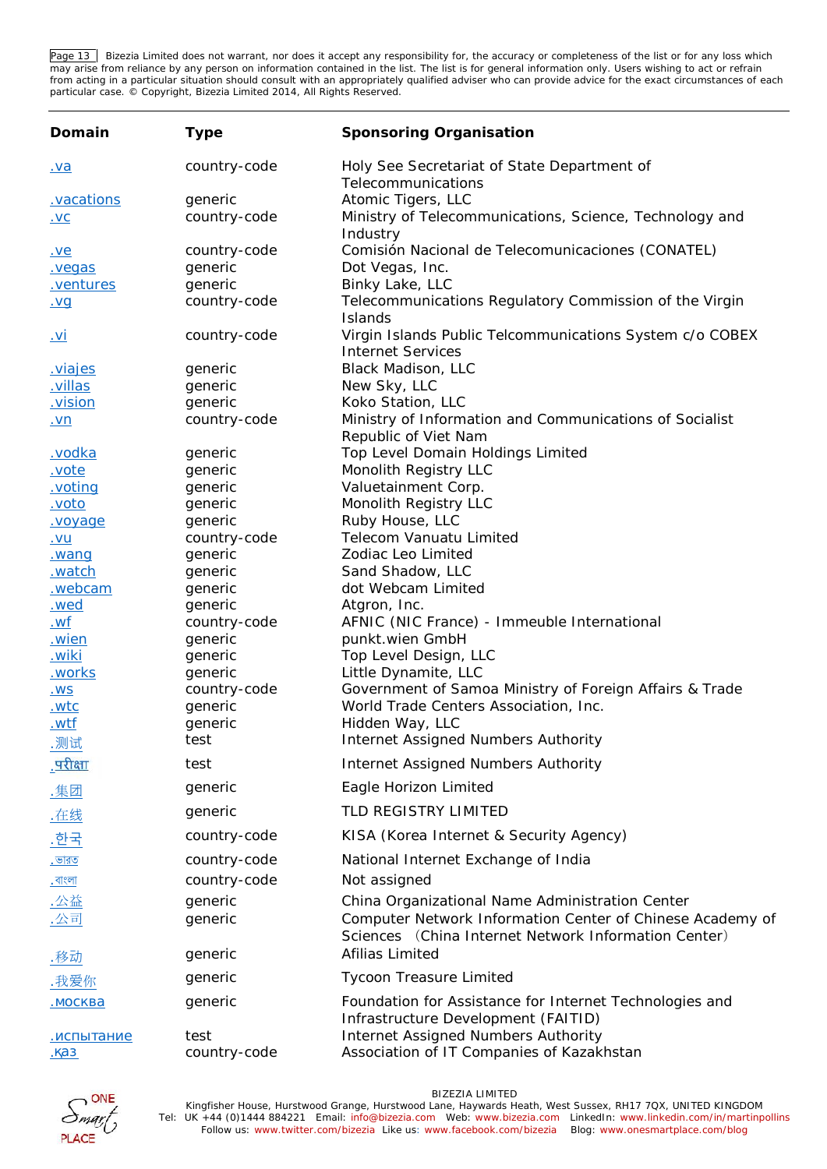Page 13 Bizezia Limited does not warrant, nor does it accept any responsibility for, the accuracy or completeness of the list or for any loss which may arise from reliance by any person on information contained in the list. The list is for general information only. Users wishing to act or refrain from acting in a particular situation should consult with an appropriately qualified adviser who can provide advice for the exact circumstances of each particular case. © Copyright, Bizezia Limited 2014, All Rights Reserved.

| Domain                | Type               | Sponsoring Organisation                                                                        |
|-----------------------|--------------------|------------------------------------------------------------------------------------------------|
| <u>.va</u>            | country-code       | Holy See Secretariat of State Department of<br>Telecommunications                              |
| .vacations            | generic            | Atomic Tigers, LLC                                                                             |
| .VC                   | country-code       | Ministry of Telecommunications, Science, Technology and                                        |
|                       |                    | Industry                                                                                       |
| <u>.ve</u>            | country-code       | Comisión Nacional de Telecomunicaciones (CONATEL)                                              |
| .vegas                | generic            | Dot Vegas, Inc.                                                                                |
| .ventures             | generic            | Binky Lake, LLC                                                                                |
| <u>.vg</u>            | country-code       | Telecommunications Regulatory Commission of the Virgin                                         |
|                       |                    | Islands                                                                                        |
| <u>.vi</u>            | country-code       | Virgin Islands Public Telcommunications System c/o COBEX                                       |
|                       |                    | <b>Internet Services</b>                                                                       |
| viajes                | generic            | Black Madison, LLC                                                                             |
| villas.               | generic            | New Sky, LLC                                                                                   |
| .vision               | generic            | Koko Station, LLC                                                                              |
| .vn                   | country-code       | Ministry of Information and Communications of Socialist                                        |
|                       |                    | Republic of Viet Nam                                                                           |
| vodka                 | generic            | Top Level Domain Holdings Limited                                                              |
| .vote                 | generic            | Monolith Registry LLC                                                                          |
| .voting               | generic            | Valuetainment Corp.<br>Monolith Registry LLC                                                   |
| <u>.voto</u>          | generic<br>generic | Ruby House, LLC                                                                                |
| voyage                | country-code       | Telecom Vanuatu Limited                                                                        |
| .vu                   | generic            | Zodiac Leo Limited                                                                             |
| wanq<br><u>.watch</u> | generic            | Sand Shadow, LLC                                                                               |
| .webcam               | generic            | dot Webcam Limited                                                                             |
| wed.                  | generic            | Atgron, Inc.                                                                                   |
| <u>.wf</u>            | country-code       | AFNIC (NIC France) - Immeuble International                                                    |
| <u>wien</u>           | generic            | punkt.wien GmbH                                                                                |
| <u>.wiki</u>          | generic            | Top Level Design, LLC                                                                          |
| works                 | generic            | Little Dynamite, LLC                                                                           |
| <u>.WS</u>            | country-code       | Government of Samoa Ministry of Foreign Affairs & Trade                                        |
| <u>.wtc</u>           | generic            | World Trade Centers Association, Inc.                                                          |
| .wtf                  | generic            | Hidden Way, LLC                                                                                |
| 测试                    | test               | Internet Assigned Numbers Authority                                                            |
| <u>परीक्षा</u>        | test               | Internet Assigned Numbers Authority                                                            |
| .集团                   | generic            | Eagle Horizon Limited                                                                          |
| .在线                   | generic            | TLD REGISTRY LIMITED                                                                           |
| .한국                   | country-code       | KISA (Korea Internet & Security Agency)                                                        |
| . ভারত                | country-code       | National Internet Exchange of India                                                            |
| <u>. বাংলা</u>        | country-code       | Not assigned                                                                                   |
| <u>.公益</u>            | generic            | China Organizational Name Administration Center                                                |
| .公司                   | generic            | Computer Network Information Center of Chinese Academy of                                      |
|                       |                    | Sciences (China Internet Network Information Center)                                           |
| .移动                   | generic            | Afilias Limited                                                                                |
| .我爱你                  | generic            | <b>Tycoon Treasure Limited</b>                                                                 |
|                       | generic            | Foundation for Assistance for Internet Technologies and<br>Infrastructure Development (FAITID) |
|                       | test               | Internet Assigned Numbers Authority                                                            |
|                       | country-code       | Association of IT Companies of Kazakhstan                                                      |

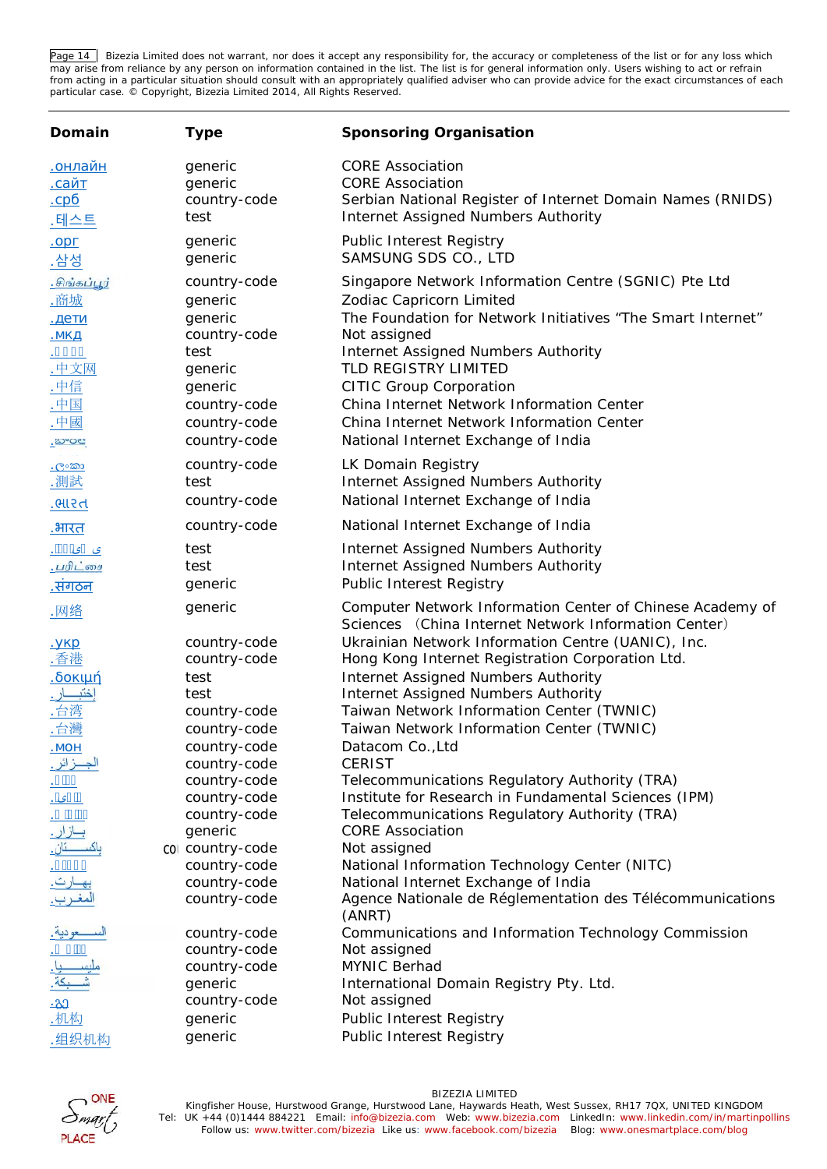Page 14 Bizezia Limited does not warrant, nor does it accept any responsibility for, the accuracy or completeness of the list or for any loss which may arise from reliance by any person on information contained in the list. The list is for general information only. Users wishing to act or refrain from acting in a particular situation should consult with an appropriately qualified adviser who can provide advice for the exact circumstances of each particular case. © Copyright, Bizezia Limited 2014, All Rights Reserved.

| Domain                                                                           | Type                                                                                                                             | Sponsoring Organisation                                                                                                                                                                                                                                                                                                                                                                           |
|----------------------------------------------------------------------------------|----------------------------------------------------------------------------------------------------------------------------------|---------------------------------------------------------------------------------------------------------------------------------------------------------------------------------------------------------------------------------------------------------------------------------------------------------------------------------------------------------------------------------------------------|
| .테스트                                                                             | generic<br>generic<br>country-code<br>test                                                                                       | <b>CORE Association</b><br><b>CORE Association</b><br>Serbian National Register of Internet Domain Names (RNIDS)<br>Internet Assigned Numbers Authority                                                                                                                                                                                                                                           |
| .삼성                                                                              | generic<br>generic                                                                                                               | <b>Public Interest Registry</b><br>SAMSUNG SDS CO., LTD                                                                                                                                                                                                                                                                                                                                           |
| சிங்கப்பூர்<br><u>.商城</u><br>中文网<br><u>.中信</u><br>.中国<br>.中國<br><u>ಿಬ್</u> ಲಾಂಡ್ | country-code<br>generic<br>generic<br>country-code<br>test<br>generic<br>generic<br>country-code<br>country-code<br>country-code | Singapore Network Information Centre (SGNIC) Pte Ltd<br>Zodiac Capricorn Limited<br>The Foundation for Network Initiatives "The Smart Internet"<br>Not assigned<br>Internet Assigned Numbers Authority<br>TLD REGISTRY LIMITED<br><b>CITIC Group Corporation</b><br>China Internet Network Information Center<br>China Internet Network Information Center<br>National Internet Exchange of India |
| . ලංකා<br>測試<br>.ભારત                                                            | country-code<br>test<br>country-code                                                                                             | LK Domain Registry<br>Internet Assigned Numbers Authority<br>National Internet Exchange of India                                                                                                                                                                                                                                                                                                  |
| <u>.भारत</u>                                                                     | country-code                                                                                                                     | National Internet Exchange of India                                                                                                                                                                                                                                                                                                                                                               |
| ى <i>ى</i> .<br><u>.பரிட்சை</u><br><u>.संगठन</u>                                 | test<br>test<br>generic                                                                                                          | Internet Assigned Numbers Authority<br>Internet Assigned Numbers Authority<br>Public Interest Registry                                                                                                                                                                                                                                                                                            |
| .网络                                                                              | generic                                                                                                                          | Computer Network Information Center of Chinese Academy of<br>Sciences (China Internet Network Information Center)                                                                                                                                                                                                                                                                                 |
| 香港<br>台湾<br>台灣                                                                   | country-code<br>country-code<br>test<br>test<br>country-code<br>country-code<br>country-code                                     | Ukrainian Network Information Centre (UANIC), Inc.<br>Hong Kong Internet Registration Corporation Ltd.<br>Internet Assigned Numbers Authority<br>Internet Assigned Numbers Authority<br>Taiwan Network Information Center (TWNIC)<br>Taiwan Network Information Center (TWNIC)<br>Datacom Co., Ltd                                                                                                |
|                                                                                  | country-code<br>country-code<br>country-code<br>country-code<br>generic                                                          | <b>CERIST</b><br>Telecommunications Regulatory Authority (TRA)<br>Institute for Research in Fundamental Sciences (IPM)<br>Telecommunications Regulatory Authority (TRA)<br><b>CORE Association</b>                                                                                                                                                                                                |
|                                                                                  | col country-code<br>country-code<br>country-code<br>country-code                                                                 | Not assigned<br>National Information Technology Center (NITC)<br>National Internet Exchange of India<br>Agence Nationale de Réglementation des Télécommunications<br>(ANRT)                                                                                                                                                                                                                       |
| · <mark>3</mark> 3<br>.机构<br>组织机构                                                | country-code<br>country-code<br>country-code<br>generic<br>country-code<br>generic<br>generic                                    | Communications and Information Technology Commission<br>Not assigned<br>MYNIC Berhad<br>International Domain Registry Pty. Ltd.<br>Not assigned<br>Public Interest Registry<br>Public Interest Registry                                                                                                                                                                                           |